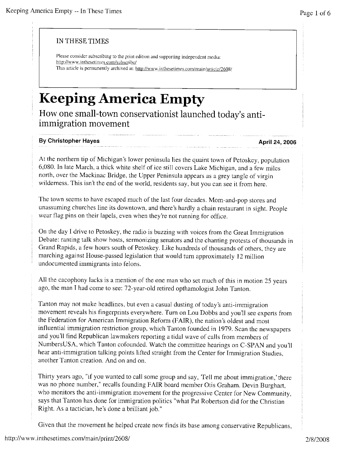## IN THESE TIMES

Please consider subscribing to the print edition and supporting independent media: http://www.inthesetimes.com/subscribe/ This article is permanently archived at: http://www.inthesetimes.com/main/article/2608/

## **Keeping America Empty**

How one small-town conservationist launched today's antiimmigration movement

## **By Christopher Hayes April 24, 2006**

At the northern tip of Michigan's lower peninsula lies the quaint town of Petoskey, population 6,080. In late March, a thick white shelf of ice still covers Lake Michigan, and a few miles north, over the Mackinac Bridge, the Upper Peninsula appears as a grey tangle of virgin wilderness. This isn't the end of the world, residents say, but you can see it from here.

The town seems to have escaped much of the last four decades. Mom-and-pop stores and unassuming churches line its downtown, and there's hardly a chain restaurant in sight. People wear flag pins on their lapels, even when they're not running for office.

On the day I drive to Petoskey, the radio is buzzing with voices from the Great Immigration Debate: ranting talk show hosts, sermonizing senators and the chanting protests of thousands in Grand Rapids, a few hours south of Petoskey. Like hundreds of thousands of others, they are marching against House-passed legislation that would turn approximately 12 million undocumented immigrants into felons.

All the cacophony lacks is a mention of the one man who set much of this in motion 25 years ago, the man I had come to see: 72-year-old retired opthamologist John Tanton.

Tanton may not make headlines, but even a casual dusting of today's anti-immigration movement reveals his fingerprints everywhere. Turn on Lou Dobbs and you'll see experts from the Federation for American Immigration Reform (FAIR), the nation's oldest and most influential immigration restriction group, which Tanton founded in 1979. Scan the newspapers and you'll find Republican lawmakers reporting a tidal wave of calls from members of NumbersUSA, which Tanton cofounded. Watch the committee hearings on C-SPAN and you'll hear anti-immigration talking points lifted straight from the Center for Immigration Studies, another Tanton creation. And on and on.

Thirty years ago, "if you wanted to call some group and say, Tell me about immigration,' there was no phone number," recalls founding FAIR board member Otis Graham. Devin Burghart, who monitors the anti-immigration movement for the progressive Center for New Community, says that Tanton has done for immigration politics "what Pat Robertson did for the Christian Right. As a tactician, he's done a brilliant job."

Given that the movement he helped create now finds its base among conservative Republicans,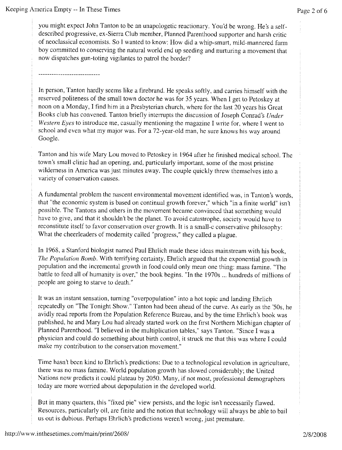you might expect John Tanton to be an unapologetic reactionary. You'd be wrong. He's a selfdescribed progressive, ex-Sierra Club member, Planned Parenthood supporter and harsh critic of neoclassical economists. So I wanted to know: How did a whip-smart, mild-mannered farm boy committed to conserving the natural world end up seeding and nurturing a movement that now dispatches gun-toting vigilantes to patrol the border?

-----------------------

In person, Tanton hardly seems like a firebrand. He speaks softly, and carries himself with the reserved politeness of the small town doctor he was for 35 years. When I get to Petoskey at noon on a Monday, I find him in a Presbyterian church, where for the last 20 years his Great Books club has convened. Tanton briefly interrupts the discussion of Joseph Conrad's *Under Western Eyes* to introduce me, casually mentioning the magazine I write for, where I went to school and even what my major was. For a 72-year-old man, he sure knows his way around Google.

Tanton and his wife Mary Lou moved to Petoskey in 1964 after he finished medical school. The town's small clinic had an opening, and, particularly important, some of the most pristine wilderness in America was just minutes away. The couple quickly threw themselves into a variety of conservation causes.

A fundamental problem the nascent environmental movement identified was, in Tanton's words, that "the economic system is based on continual growth forever," which "in a finite world" isn't possible. The Tantons and others in the movement became convinced that something would have to give, and that it shouldn't be the planet. To avoid catastrophe, society would have to reconstitute itself to favor conservation over growth. It is a small-c conservative philosophy: What the cheerleaders of modernity called "progress," they called a plague.

In 1968, a Stanford biologist named Paul Ehrlich made these ideas mainstream with his book, *The Population Bomb.* With terrifying certainty, Ehrlich argued that the exponential growth in population and the incremental growth in food could only mean one thing: mass famine. "The battle to feed all of humanity is over," the book begins. "In the 1970s ... hundreds of millions of people are going to starve to death."

It was an instant sensation, turning "overpopulation" into a hot topic and landing Ehrlich repeatedly on "The Tonight Show." Tanton had been ahead of the curve. As early as the '50s, he avidly read reports from the Population Reference Bureau, and by the time Ehrlich's book was published, he and Mary Lou had already started work on the first Northern Michigan chapter of Planned Parenthood. "I believed in the multiplication tables," says Tanton. "Since I was a physician and could do something about birth control, it struck me that this was where I could make my contribution to the conservation movement."

Time hasn't been kind to Ehrlich's predictions: Due to a technological revolution in agriculture, there was no mass famine. World population growth has slowed considerably; the United Nations now predicts it could plateau by 2050. Many, if not most, professional demographers today are more worried about depopulation in the developed world.

But in many quarters, this "fixed pie" view persists, and the logic isn't necessarily flawed. Resources, particularly oil, are finite and the notion that technology will always be able to bail us out is dubious. Perhaps Ehrlich's predictions weren't wrong, just premature.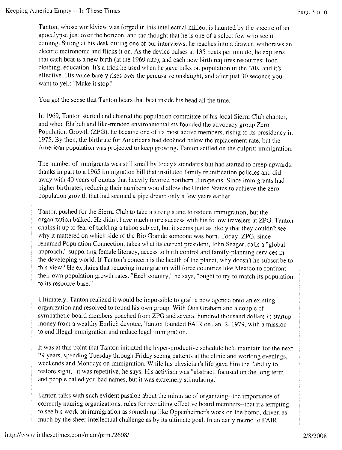Tanton, whose worldview was forged in this intellectual milieu, is haunted by the spectre of an apocalypse just over the horizon, and the thought that he is one of a select few who see it coming. Sitting at his desk during one of our interviews, he reaches into a drawer, withdraws an electric metronome and flicks it on. As the device pulses at 135 beats per minute, he explains that each beat is a new birth (at the 1969 rate), and each new birth requires resources: food, clothing, education. It's a trick he used when he gave talks on population in the '70s, and it's effective. His voice barely rises over the percussive onslaught, and after just 30 seconds you want to yell: "Make it stop!"

You get the sense that Tanton hears that beat inside his head all the time.

In 1969, Tanton started and chaired the population committee of his local Sierra Club chapter, and when Ehrlich and like-minded environmentalists founded the advocacy group Zero Population Growth (ZPG), he became one of its most active members, rising to its presidency in 1975. By then, the birthrate for Americans had declined below the replacement rate, but the American population was projected to keep growing. Tanton settled on the culprit: immigration.

The number of immigrants was still small by today's standards but had started to creep upwards, thanks in part to a 1965 immigration bill that instituted family reunification policies and did away with 40 years of quotas that heavily favored northern Europeans. Since immigrants had higher birthrates, reducing their numbers would allow the United States to achieve the zero population growth that had seemed a pipe dream only a few years earlier.

Tanton pushed for the Sierra Club to take a strong stand to reduce immigration, but the organization balked. He didn't have much more success with his fellow travelers at ZPG. Tanton chalks it up to fear of tackling a taboo subject, but it seems just as likely that they couldn't see why it mattered on which side of the Rio Grande someone was born. Today, ZPG, since renamed Population Connection, takes what its current president, John Seager, calls a "global approach," supporting female literacy, access to birth control and family-planning services in the developing world. If Tanton's concern is the health of the planet, why doesn't he subscribe to this view? He explains that reducing immigration will force countries like Mexico to confront their own population growth rates. "Each country," he says, "ought to try to match its population to its resource base."

Ultimately, Tanton realized it would be impossible to graft a new agenda onto an existing organization and resolved to found his own group. With Otis Graham and a couple of sympathetic board members poached from ZPG and several hundred thousand dollars in startup money from a wealthy Ehrlich devotee, Tanton founded FAIR on Jan. 2, 1979, with a mission to end illegal immigration and reduce legal immigration.

It was at this point that Tanton initiated the hyper-productive schedule he'd maintain for the next 29 years, spending Tuesday through Friday seeing patients at the clinic and working evenings, weekends and Mondays on immigration. While his physician's life gave him the "ability to restore sight," it was repetitive, he says. His activism was "abstract, focused on the long term and people called you bad names, but it was extremely stimulating."

Tanton talks with such evident passion about the minutiae of organizing--the importance of correctly naming organizations, rules for recruiting effective board members--that it's tempting to see his work on immigration as something like Oppenheimer's work on the bomb, driven as much by the sheer intellectual challenge as by its ultimate goal. In an early memo to FAIR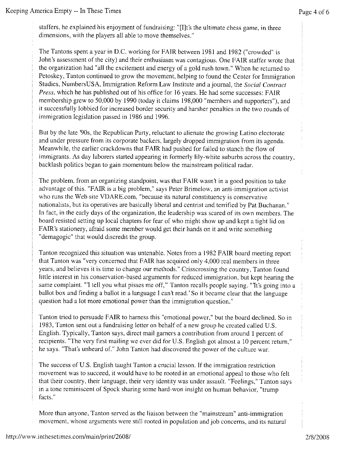staffers, he explained his enjoyment of fundraising: "[I]t's the ultimate chess game, in three dimensions, with the players all able to move themselves."

The Tantons spent a year in D.C. working for FAIR between 1981 and 1982 ("crowded" is John's assessment of the city) and their enthusiasm was contagious. One FAIR staffer wrote that the organization had "all the excitement and energy of a gold rush town." When he returned to Petoskey, Tanton continued to grow the movement, helping to found the Center for Immigration Studies, NumbersUSA, Immigration Reform Law Institute and a journal, the *Social Contract Press,* which he has published out of his office for 16 years. He had some successes: FAIR membership grew to 50,000 by 1990 (today it claims 198,000 "members and supporters"), and it successfully lobbied for increased border security and harsher penalties in the two rounds of immigration legislation passed in 1986 and 1996.

But by the late '90s, the Republican Party, reluctant to alienate the growing Latino electorate and under pressure from its corporate backers, largely dropped immigration from its agenda. Meanwhile, the earlier crackdowns that FAIR had pushed for failed to stanch the flow of immigrants. As day laborers started appearing in formerly lily-white suburbs across the country, backlash politics began to gain momentum below the mainstream political radar.

The problem, from an organizing standpoint, was that FAIR wasn't in a good position to take advantage of this. "FAIR is a big problem," says Peter Brimelow, an anti-immigration activist who runs the Web site VDARE.com, "because its natural constituency is conservative nationalists, but its operatives are basically liberal and centrist and terrified by Pat Buchanan." In fact, in the early days of the organization, the leadership was scared of its own members. The board resisted setting up local chapters for fear of who might show up and kept a tight lid on FAIR's stationery, afraid some member would get their hands on it and write something "demagogic" that would discredit the group.

Tanton recognized this situation was untenable. Notes from a 1982 FAIR board meeting report that Tanton was "very concerned that FAIR has acquired only 4,000 real members in three years, and believes it is time to change our methods." Crisscrossing the country, Tanton found little interest in his conservation-based arguments for reduced immigration, but kept hearing the same complaint. "I tell you what pisses me off," Tanton recalls people saying. "It's going into a ballot box and finding a ballot in a language I can't read.' So it became clear that the language question had a lot more emotional power than the immigration question."

Tanton tried to persuade FAIR to harness this "emotional power," but the board declined. So in 1983, Tanton sent out a fundraising letter on behalf of a new group he created called U.S. English. Typically, Tanton says, direct mail garners a contribution from around 1 percent of recipients. "The very first mailing we ever did for U.S. English got almost a 10 percent return," he says. "That's unheard of." John Tanton had discovered the power of the culture war.

The success of U.S. English taught Tanton a crucial lesson. If the immigration restriction movement was to succeed, it would have to be rooted in an emotional appeal to those who felt that their country, their language, their very identity was under assault. "Feelings," Tanton says in a tone reminiscent of Spock sharing some hard-won insight on human behavior, "trump facts."

More than anyone, Tanton served as the liaison between the "mainstream" anti-immigration movement, whose arguments were still rooted in population and job concerns, and its natural More than anyone, Tanton served as the liaison between the "mainstream" anti-immigration movement, whose arguments were still rooted in population and job concerns, and its natural http://www.inthesetimes.com/main/print/26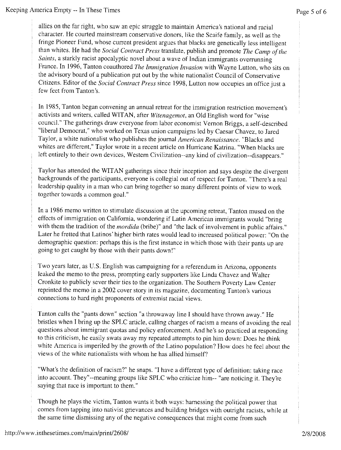allies on the far right, who saw an epic struggle to maintain America's national and racial character. He courted mainstream conservative donors, like the Scaife family, as well as the fringe Pioneer Fund, whose current president argues that blacks are genetically less intelligent than whites. He had the *Social Contract Press* translate, publish and promote *The Camp of the Saints,* a starkly racist apocalyptic novel about a wave of Indian immigrants overrunning France. In 1996, Tanton coauthored *The Immigration Invasion* with Wayne Lutton, who sits on the advisory board of a publication put out by the white nationalist Council of Conservative Citizens. Editor of the *Social Contract Press* since 1998, Lutton now occupies an office just a few feet from Tanton's.

In 1985, Tanton began convening an annual retreat for the immigration restriction movement's activists and writers, called WITAN, after *Witenagemot,* an Old English word for "wise council." The gatherings draw everyone from labor economist Vernon Briggs, a self-described "liberal Democrat," who worked on Texas union campaigns led by Caesar Chavez, to Jared Taylor, a white nationalist who publishes the journal *American Renaissance.* "Blacks and whites are different," Taylor wrote in a recent article on Hurricane Katrina. "When blacks are left entirely to their own devices, Western Civilization--any kind of civilization--disappears."

Taylor has attended the WITAN gatherings since their inception and says despite the divergent backgrounds of the participants, everyone is collegial out of respect for Tanton. "There's a real leadership quality in a man who can bring together so many different points of view to work together towards a common goal."

In a 1986 memo written to stimulate discussion at the upcoming retreat, Tanton mused on the effects of immigration on California, wondering if Latin American immigrants would "bring with them the tradition of the *mordida* (bribe)" and "the lack of involvement in public affairs." Later he fretted that Latinos' higher birth rates would lead to increased political power: "On the demographic question: perhaps this is the first instance in which those with their pants up are going to get caught by those with their pants down!"

Two years later, as U.S. English was campaigning for a referendum in Arizona, opponents leaked the memo to the press, prompting early supporters like Linda Chavez and Walter Cronkite to publicly sever their ties to the organization. The Southern Poverty Law Center reprinted the memo in a 2002 cover story in its magazine, documenting Tanton's various connections to hard right proponents of extremist racial views.

Tanton calls the "pants down" section "a throwaway line I should have thrown away." He bristles when I bring up the SPLC article, calling charges of racism a means of avoiding the real questions about immigrant quotas and policy enforcement. And he's so practiced at responding to this criticism, he easily swats away my repeated attempts to pin him down: Does he think white America is imperiled by the growth of the Latino population? How does he feel about the views of the white nationalists with whom he has allied himself?

"What's the definition of racism?" he snaps. "I have a different type of definition: taking race into account. They"--meaning groups like SPLC who criticize him-- "are noticing it. They're saying that race is important to them."

Though he plays the victim, Tanton wants it both ways: harnessing the political power that comes from tapping into nativist grievances and building bridges with outright racists, while at the same time dismissing any of the negative consequences that might come from such